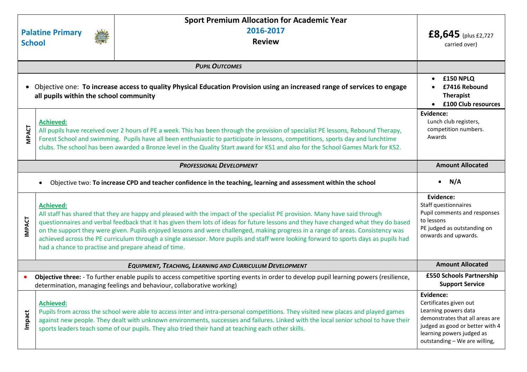| <b>School</b>                                                                                                                                                                                                      | <b>Palatine Primary</b>                                                                                                                                                                                                                                                                                                                                                                                                       | <b>Sport Premium Allocation for Academic Year</b><br>2016-2017<br><b>Review</b>                                                                                                                                                                                                                                                                                                                                                                                                                                                                | $£8,645$ (plus £2,727<br>carried over)                                                                                                                                                          |
|--------------------------------------------------------------------------------------------------------------------------------------------------------------------------------------------------------------------|-------------------------------------------------------------------------------------------------------------------------------------------------------------------------------------------------------------------------------------------------------------------------------------------------------------------------------------------------------------------------------------------------------------------------------|------------------------------------------------------------------------------------------------------------------------------------------------------------------------------------------------------------------------------------------------------------------------------------------------------------------------------------------------------------------------------------------------------------------------------------------------------------------------------------------------------------------------------------------------|-------------------------------------------------------------------------------------------------------------------------------------------------------------------------------------------------|
|                                                                                                                                                                                                                    |                                                                                                                                                                                                                                                                                                                                                                                                                               |                                                                                                                                                                                                                                                                                                                                                                                                                                                                                                                                                |                                                                                                                                                                                                 |
| Objective one: To increase access to quality Physical Education Provision using an increased range of services to engage<br>$\bullet$<br>all pupils within the school community                                    | £150 NPLQ<br>£7416 Rebound<br><b>Therapist</b><br>£100 Club resources                                                                                                                                                                                                                                                                                                                                                         |                                                                                                                                                                                                                                                                                                                                                                                                                                                                                                                                                |                                                                                                                                                                                                 |
| <b>MPACT</b>                                                                                                                                                                                                       | <b>Achieved:</b><br>All pupils have received over 2 hours of PE a week. This has been through the provision of specialist PE lessons, Rebound Therapy,<br>Forest School and swimming. Pupils have all been enthusiastic to participate in lessons, competitions, sports day and lunchtime<br>clubs. The school has been awarded a Bronze level in the Quality Start award for KS1 and also for the School Games Mark for KS2. |                                                                                                                                                                                                                                                                                                                                                                                                                                                                                                                                                | Evidence:<br>Lunch club registers,<br>competition numbers.<br>Awards                                                                                                                            |
| <b>PROFESSIONAL DEVELOPMENT</b>                                                                                                                                                                                    |                                                                                                                                                                                                                                                                                                                                                                                                                               | <b>Amount Allocated</b>                                                                                                                                                                                                                                                                                                                                                                                                                                                                                                                        |                                                                                                                                                                                                 |
| Objective two: To increase CPD and teacher confidence in the teaching, learning and assessment within the school                                                                                                   |                                                                                                                                                                                                                                                                                                                                                                                                                               |                                                                                                                                                                                                                                                                                                                                                                                                                                                                                                                                                | $\bullet$ N/A                                                                                                                                                                                   |
| <b>IMPACT</b>                                                                                                                                                                                                      | <b>Achieved:</b><br>had a chance to practise and prepare ahead of time.                                                                                                                                                                                                                                                                                                                                                       | All staff has shared that they are happy and pleased with the impact of the specialist PE provision. Many have said through<br>questionnaires and verbal feedback that it has given them lots of ideas for future lessons and they have changed what they do based<br>on the support they were given. Pupils enjoyed lessons and were challenged, making progress in a range of areas. Consistency was<br>achieved across the PE curriculum through a single assessor. More pupils and staff were looking forward to sports days as pupils had | Evidence:<br>Staff questionnaires<br>Pupil comments and responses<br>to lessons<br>PE judged as outstanding on<br>onwards and upwards.                                                          |
| EQUIPMENT, TEACHING, LEARNING AND CURRICULUM DEVELOPMENT                                                                                                                                                           |                                                                                                                                                                                                                                                                                                                                                                                                                               |                                                                                                                                                                                                                                                                                                                                                                                                                                                                                                                                                | <b>Amount Allocated</b>                                                                                                                                                                         |
| Objective three: - To further enable pupils to access competitive sporting events in order to develop pupil learning powers (resilience,<br>determination, managing feelings and behaviour, collaborative working) |                                                                                                                                                                                                                                                                                                                                                                                                                               |                                                                                                                                                                                                                                                                                                                                                                                                                                                                                                                                                | £550 Schools Partnership<br><b>Support Service</b>                                                                                                                                              |
| Impact                                                                                                                                                                                                             | <b>Achieved:</b>                                                                                                                                                                                                                                                                                                                                                                                                              | Pupils from across the school were able to access inter and intra-personal competitions. They visited new places and played games<br>against new people. They dealt with unknown environments, successes and failures. Linked with the local senior school to have their<br>sports leaders teach some of our pupils. They also tried their hand at teaching each other skills.                                                                                                                                                                 | Evidence:<br>Certificates given out<br>Learning powers data<br>demonstrates that all areas are<br>judged as good or better with 4<br>learning powers judged as<br>outstanding - We are willing, |